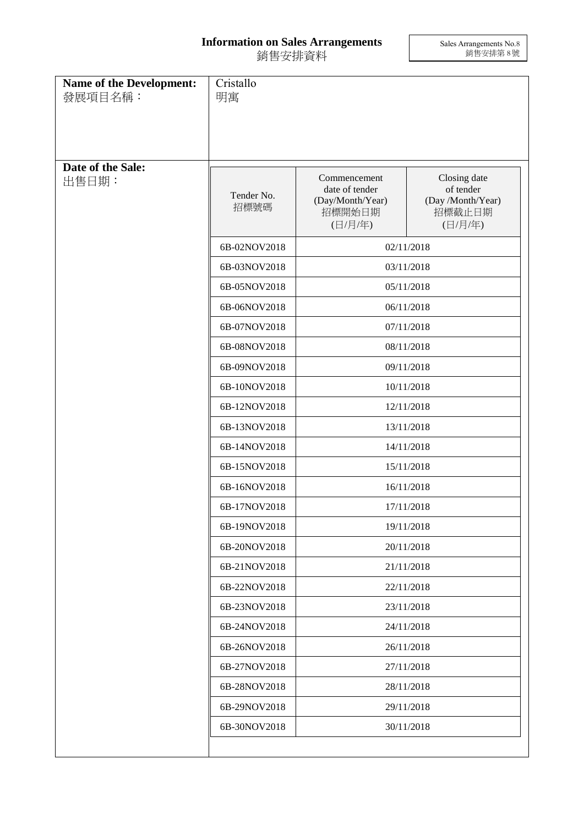## **Information on Sales Arrangements** 銷售安排資料

Sales Arrangements No.8 銷售安排第 8 號

| Name of the Development:<br>發展項目名稱: | Cristallo<br>明寓    |                                                                         |                                                                     |  |
|-------------------------------------|--------------------|-------------------------------------------------------------------------|---------------------------------------------------------------------|--|
| Date of the Sale:<br>出售日期:          | Tender No.<br>招標號碼 | Commencement<br>date of tender<br>(Day/Month/Year)<br>招標開始日期<br>(日/月/年) | Closing date<br>of tender<br>(Day /Month/Year)<br>招標截止日期<br>(日/月/年) |  |
|                                     | 6B-02NOV2018       | 02/11/2018                                                              |                                                                     |  |
|                                     | 6B-03NOV2018       | 03/11/2018                                                              |                                                                     |  |
|                                     | 6B-05NOV2018       | 05/11/2018                                                              |                                                                     |  |
|                                     | 6B-06NOV2018       | 06/11/2018                                                              |                                                                     |  |
|                                     | 6B-07NOV2018       | 07/11/2018                                                              |                                                                     |  |
|                                     | 6B-08NOV2018       |                                                                         | 08/11/2018                                                          |  |
|                                     | 6B-09NOV2018       | 09/11/2018                                                              |                                                                     |  |
|                                     | 6B-10NOV2018       | 10/11/2018                                                              |                                                                     |  |
|                                     | 6B-12NOV2018       | 12/11/2018                                                              |                                                                     |  |
|                                     | 6B-13NOV2018       | 13/11/2018                                                              |                                                                     |  |
|                                     | 6B-14NOV2018       | 14/11/2018                                                              |                                                                     |  |
|                                     | 6B-15NOV2018       | 15/11/2018                                                              |                                                                     |  |
|                                     | 6B-16NOV2018       | 16/11/2018                                                              |                                                                     |  |
|                                     | 6B-17NOV2018       | 17/11/2018                                                              |                                                                     |  |
|                                     | 6B-19NOV2018       | 19/11/2018                                                              |                                                                     |  |
|                                     | 6B-20NOV2018       | 20/11/2018                                                              |                                                                     |  |
|                                     | 6B-21NOV2018       | 21/11/2018                                                              |                                                                     |  |
|                                     | 6B-22NOV2018       | 22/11/2018                                                              |                                                                     |  |
|                                     | 6B-23NOV2018       | 23/11/2018                                                              |                                                                     |  |
|                                     | 6B-24NOV2018       | 24/11/2018                                                              |                                                                     |  |
|                                     | 6B-26NOV2018       | 26/11/2018                                                              |                                                                     |  |
|                                     | 6B-27NOV2018       | 27/11/2018                                                              |                                                                     |  |
|                                     | 6B-28NOV2018       | 28/11/2018                                                              |                                                                     |  |
|                                     | 6B-29NOV2018       | 29/11/2018                                                              |                                                                     |  |
|                                     | 6B-30NOV2018       |                                                                         | 30/11/2018                                                          |  |
|                                     |                    |                                                                         |                                                                     |  |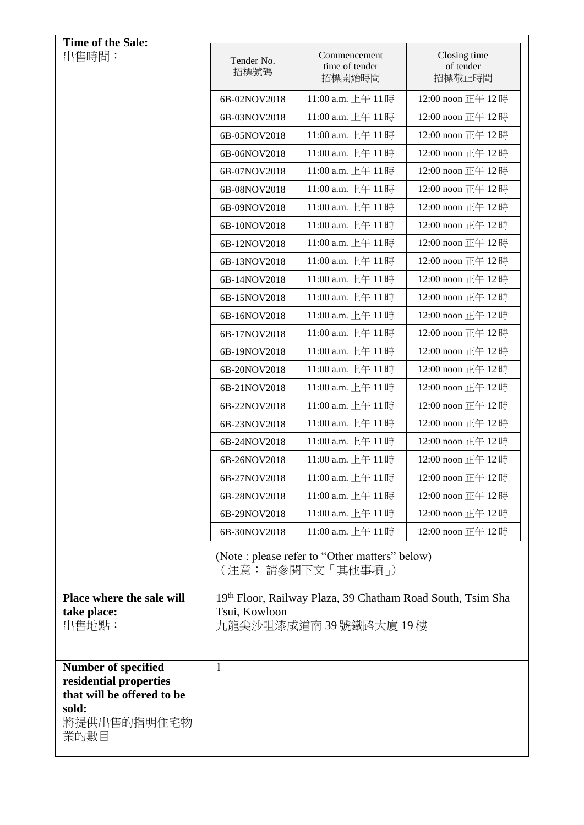| Time of the Sale:                                                                           |                                                                     |                                          |                                     |  |  |
|---------------------------------------------------------------------------------------------|---------------------------------------------------------------------|------------------------------------------|-------------------------------------|--|--|
| 出售時間:                                                                                       | Tender No.<br>招標號碼                                                  | Commencement<br>time of tender<br>招標開始時間 | Closing time<br>of tender<br>招標截止時間 |  |  |
|                                                                                             | 6B-02NOV2018                                                        | 11:00 a.m. 上午 11時                        | 12:00 noon 正午 12時                   |  |  |
|                                                                                             | 6B-03NOV2018                                                        | 11:00 a.m. 上午 11時                        | 12:00 noon 正午 12時                   |  |  |
|                                                                                             | 6B-05NOV2018                                                        | 11:00 a.m. 上午 11時                        | 12:00 noon 正午 12時                   |  |  |
|                                                                                             | 6B-06NOV2018                                                        | 11:00 a.m. 上午 11時                        | 12:00 noon 正午 12時                   |  |  |
|                                                                                             | 6B-07NOV2018                                                        | 11:00 a.m. 上午 11時                        | 12:00 noon 正午 12時                   |  |  |
|                                                                                             | 6B-08NOV2018                                                        | 11:00 a.m. 上午 11時                        | 12:00 noon 正午 12時                   |  |  |
|                                                                                             | 6B-09NOV2018                                                        | 11:00 a.m. 上午 11時                        | 12:00 noon 正午 12時                   |  |  |
|                                                                                             | 6B-10NOV2018                                                        | 11:00 a.m. 上午 11時                        | 12:00 noon 正午 12時                   |  |  |
|                                                                                             | 6B-12NOV2018                                                        | 11:00 a.m. 上午 11時                        | 12:00 noon 正午 12時                   |  |  |
|                                                                                             | 6B-13NOV2018                                                        | 11:00 a.m. 上午 11時                        | 12:00 noon 正午 12時                   |  |  |
|                                                                                             | 6B-14NOV2018                                                        | 11:00 a.m. 上午 11時                        | 12:00 noon 正午 12時                   |  |  |
|                                                                                             | 6B-15NOV2018                                                        | 11:00 a.m. 上午 11時                        | 12:00 noon 正午 12時                   |  |  |
|                                                                                             | 6B-16NOV2018                                                        | 11:00 a.m. 上午 11時                        | 12:00 noon 正午 12時                   |  |  |
|                                                                                             | 6B-17NOV2018                                                        | 11:00 a.m. 上午 11時                        | 12:00 noon 正午 12時                   |  |  |
|                                                                                             | 6B-19NOV2018                                                        | 11:00 a.m. 上午 11時                        | 12:00 noon 正午 12時                   |  |  |
|                                                                                             | 6B-20NOV2018                                                        | 11:00 a.m. 上午 11時                        | 12:00 noon 正午 12時                   |  |  |
|                                                                                             | 6B-21NOV2018                                                        | 11:00 a.m. 上午 11時                        | 12:00 noon 正午 12時                   |  |  |
|                                                                                             | 6B-22NOV2018                                                        | 11:00 a.m. 上午 11時                        | 12:00 noon 正午 12時                   |  |  |
|                                                                                             | 6B-23NOV2018                                                        | 11:00 a.m. 上午 11時                        | 12:00 noon 正午 12時                   |  |  |
|                                                                                             | 6B-24NOV2018                                                        | 11:00 a.m. 上午 11時                        | 12:00 noon 正午 12時                   |  |  |
|                                                                                             | 6B-26NOV2018                                                        | 11:00 a.m. 上午 11時                        | 12:00 noon 正午 12時                   |  |  |
|                                                                                             | 6B-27NOV2018                                                        | 11:00 a.m. 上午 11時                        | 12:00 noon 正午 12時                   |  |  |
|                                                                                             | 6B-28NOV2018                                                        | 11:00 a.m. 上午 11時                        | 12:00 noon 正午 12時                   |  |  |
|                                                                                             | 6B-29NOV2018                                                        | 11:00 a.m. 上午 11時                        | 12:00 noon 正午 12時                   |  |  |
|                                                                                             | 6B-30NOV2018                                                        | 11:00 a.m. 上午 11時                        | 12:00 noon 正午 12時                   |  |  |
|                                                                                             | (Note : please refer to "Other matters" below)<br>(注意: 請參閱下文「其他事項」) |                                          |                                     |  |  |
| Place where the sale will                                                                   | 19th Floor, Railway Plaza, 39 Chatham Road South, Tsim Sha          |                                          |                                     |  |  |
| take place:<br>出售地點:                                                                        | Tsui, Kowloon<br>九龍尖沙咀漆咸道南39號鐵路大廈19樓                                |                                          |                                     |  |  |
|                                                                                             |                                                                     |                                          |                                     |  |  |
| <b>Number of specified</b><br>residential properties<br>that will be offered to be<br>sold: | $\mathbf{1}$                                                        |                                          |                                     |  |  |
| 將提供出售的指明住宅物<br>業的數目                                                                         |                                                                     |                                          |                                     |  |  |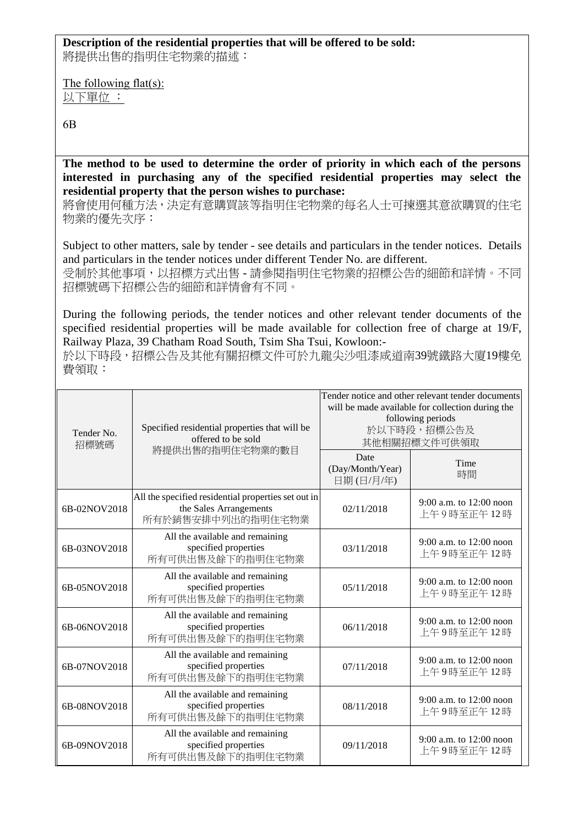## **Description of the residential properties that will be offered to be sold:**

將提供出售的指明住宅物業的描述:

The following flat(s): 以下單位 :

6B

**The method to be used to determine the order of priority in which each of the persons interested in purchasing any of the specified residential properties may select the residential property that the person wishes to purchase:** 

將會使用何種方法,決定有意購買該等指明住宅物業的每名人士可揀選其意欲購買的住宅 物業的優先次序:

Subject to other matters, sale by tender - see details and particulars in the tender notices. Details and particulars in the tender notices under different Tender No. are different. 受制於其他事項,以招標方式出售 - 請參閱指明住宅物業的招標公告的細節和詳情。不同 招標號碼下招標公告的細節和詳情會有不同。

During the following periods, the tender notices and other relevant tender documents of the specified residential properties will be made available for collection free of charge at 19/F, Railway Plaza, 39 Chatham Road South, Tsim Sha Tsui, Kowloon:-

於以下時段,招標公告及其他有關招標文件可於九龍尖沙咀漆咸道南39號鐵路大廈19樓免 費領取:

| Tender No.<br>招標號碼 | Specified residential properties that will be<br>offered to be sold<br>將提供出售的指明住宅物業的數目             | Tender notice and other relevant tender documents<br>will be made available for collection during the<br>following periods<br>於以下時段,招標公告及<br>其他相關招標文件可供領取 |                                         |
|--------------------|----------------------------------------------------------------------------------------------------|-----------------------------------------------------------------------------------------------------------------------------------------------------------|-----------------------------------------|
|                    |                                                                                                    | Date<br>(Day/Month/Year)<br>日期(日/月/年)                                                                                                                     | Time<br>時間                              |
| 6B-02NOV2018       | All the specified residential properties set out in<br>the Sales Arrangements<br>所有於銷售安排中列出的指明住宅物業 | 02/11/2018                                                                                                                                                | 9:00 a.m. to 12:00 noon<br>上午9時至正午12時   |
| 6B-03NOV2018       | All the available and remaining<br>specified properties<br>所有可供出售及餘下的指明住宅物業                        | 03/11/2018                                                                                                                                                | 9:00 a.m. to 12:00 noon<br>上午9時至正午12時   |
| 6B-05NOV2018       | All the available and remaining<br>specified properties<br>所有可供出售及餘下的指明住宅物業                        | 05/11/2018                                                                                                                                                | 9:00 a.m. to $12:00$ noon<br>上午9時至正午12時 |
| 6B-06NOV2018       | All the available and remaining<br>specified properties<br>所有可供出售及餘下的指明住宅物業                        | 06/11/2018                                                                                                                                                | 9:00 a.m. to $12:00$ noon<br>上午9時至正午12時 |
| 6B-07NOV2018       | All the available and remaining<br>specified properties<br>所有可供出售及餘下的指明住宅物業                        | 07/11/2018                                                                                                                                                | 9:00 a.m. to 12:00 noon<br>上午9時至正午12時   |
| 6B-08NOV2018       | All the available and remaining<br>specified properties<br>所有可供出售及餘下的指明住宅物業                        | 08/11/2018                                                                                                                                                | 9:00 a.m. to 12:00 noon<br>上午9時至正午12時   |
| 6B-09NOV2018       | All the available and remaining<br>specified properties<br>所有可供出售及餘下的指明住宅物業                        | 09/11/2018                                                                                                                                                | 9:00 a.m. to 12:00 noon<br>上午9時至正午12時   |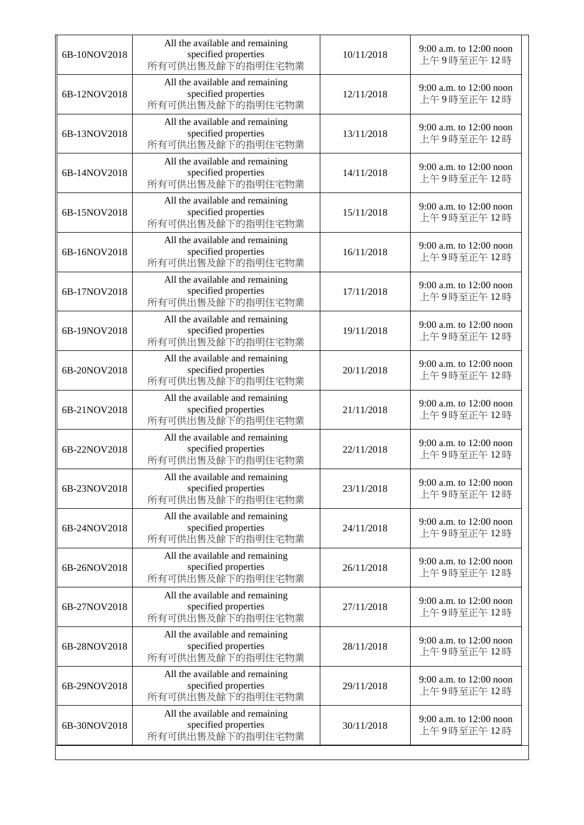| 6B-10NOV2018 | All the available and remaining<br>specified properties<br>所有可供出售及餘下的指明住宅物業 | 10/11/2018 | 9:00 a.m. to $12:00$ noon<br>上午9時至正午12時   |
|--------------|-----------------------------------------------------------------------------|------------|-------------------------------------------|
| 6B-12NOV2018 | All the available and remaining<br>specified properties<br>所有可供出售及餘下的指明住宅物業 | 12/11/2018 | 9:00 a.m. to 12:00 noon<br>上午9時至正午12時     |
| 6B-13NOV2018 | All the available and remaining<br>specified properties<br>所有可供出售及餘下的指明住宅物業 | 13/11/2018 | 9:00 a.m. to 12:00 noon<br>上午9時至正午12時     |
| 6B-14NOV2018 | All the available and remaining<br>specified properties<br>所有可供出售及餘下的指明住宅物業 | 14/11/2018 | $9:00$ a.m. to $12:00$ noon<br>上午9時至正午12時 |
| 6B-15NOV2018 | All the available and remaining<br>specified properties<br>所有可供出售及餘下的指明住宅物業 | 15/11/2018 | 9:00 a.m. to 12:00 noon<br>上午9時至正午12時     |
| 6B-16NOV2018 | All the available and remaining<br>specified properties<br>所有可供出售及餘下的指明住宅物業 | 16/11/2018 | 9:00 a.m. to 12:00 noon<br>上午9時至正午12時     |
| 6B-17NOV2018 | All the available and remaining<br>specified properties<br>所有可供出售及餘下的指明住宅物業 | 17/11/2018 | 9:00 a.m. to 12:00 noon<br>上午9時至正午12時     |
| 6B-19NOV2018 | All the available and remaining<br>specified properties<br>所有可供出售及餘下的指明住宅物業 | 19/11/2018 | 9:00 a.m. to 12:00 noon<br>上午9時至正午12時     |
| 6B-20NOV2018 | All the available and remaining<br>specified properties<br>所有可供出售及餘下的指明住宅物業 | 20/11/2018 | 9:00 a.m. to 12:00 noon<br>上午9時至正午12時     |
| 6B-21NOV2018 | All the available and remaining<br>specified properties<br>所有可供出售及餘下的指明住宅物業 | 21/11/2018 | 9:00 a.m. to 12:00 noon<br>上午9時至正午12時     |
| 6B-22NOV2018 | All the available and remaining<br>specified properties<br>所有可供出售及餘下的指明住宅物業 | 22/11/2018 | 9:00 a.m. to 12:00 noon<br>上午9時至正午12時     |
| 6B-23NOV2018 | All the available and remaining<br>specified properties<br>所有可供出售及餘下的指明住宅物業 | 23/11/2018 | 9:00 a.m. to 12:00 noon<br>上午9時至正午12時     |
| 6B-24NOV2018 | All the available and remaining<br>specified properties<br>所有可供出售及餘下的指明住宅物業 | 24/11/2018 | 9:00 a.m. to 12:00 noon<br>上午9時至正午12時     |
| 6B-26NOV2018 | All the available and remaining<br>specified properties<br>所有可供出售及餘下的指明住宅物業 | 26/11/2018 | $9:00$ a.m. to $12:00$ noon<br>上午9時至正午12時 |
| 6B-27NOV2018 | All the available and remaining<br>specified properties<br>所有可供出售及餘下的指明住宅物業 | 27/11/2018 | 9:00 a.m. to 12:00 noon<br>上午9時至正午12時     |
| 6B-28NOV2018 | All the available and remaining<br>specified properties<br>所有可供出售及餘下的指明住宅物業 | 28/11/2018 | 9:00 a.m. to 12:00 noon<br>上午9時至正午12時     |
| 6B-29NOV2018 | All the available and remaining<br>specified properties<br>所有可供出售及餘下的指明住宅物業 | 29/11/2018 | 9:00 a.m. to 12:00 noon<br>上午9時至正午12時     |
| 6B-30NOV2018 | All the available and remaining<br>specified properties<br>所有可供出售及餘下的指明住宅物業 | 30/11/2018 | 9:00 a.m. to 12:00 noon<br>上午9時至正午12時     |